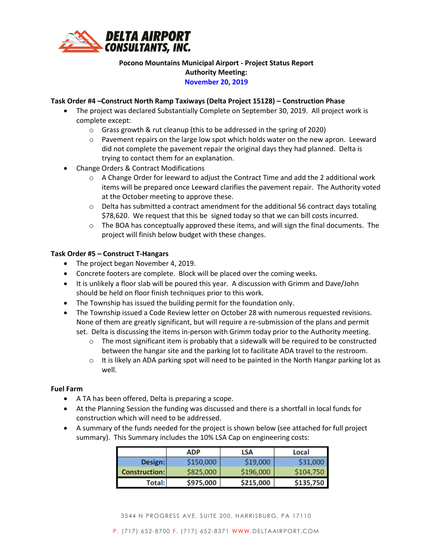

## **Pocono Mountains Municipal Airport - Project Status Report Authority Meeting: November 20, 2019**

## **Task Order #4 –Construct North Ramp Taxiways (Delta Project 15128) – Construction Phase**

- The project was declared Substantially Complete on September 30, 2019. All project work is complete except:
	- o Grass growth & rut cleanup (this to be addressed in the spring of 2020)
	- $\circ$  Pavement repairs on the large low spot which holds water on the new apron. Leeward did not complete the pavement repair the original days they had planned. Delta is trying to contact them for an explanation.
- Change Orders & Contract Modifications
	- $\circ$  A Change Order for leeward to adjust the Contract Time and add the 2 additional work items will be prepared once Leeward clarifies the pavement repair. The Authority voted at the October meeting to approve these.
	- $\circ$  Delta has submitted a contract amendment for the additional 56 contract days totaling \$78,620. We request that this be signed today so that we can bill costs incurred.
	- $\circ$  The BOA has conceptually approved these items, and will sign the final documents. The project will finish below budget with these changes.

## **Task Order #5 – Construct T-Hangars**

- The project began November 4, 2019.
- Concrete footers are complete. Block will be placed over the coming weeks.
- It is unlikely a floor slab will be poured this year. A discussion with Grimm and Dave/John should be held on floor finish techniques prior to this work.
- The Township has issued the building permit for the foundation only.
- The Township issued a Code Review letter on October 28 with numerous requested revisions. None of them are greatly significant, but will require a re-submission of the plans and permit set. Delta is discussing the items in-person with Grimm today prior to the Authority meeting.
	- $\circ$  The most significant item is probably that a sidewalk will be required to be constructed between the hangar site and the parking lot to facilitate ADA travel to the restroom.
	- $\circ$  It is likely an ADA parking spot will need to be painted in the North Hangar parking lot as well.

## **Fuel Farm**

- A TA has been offered, Delta is preparing a scope.
- At the Planning Session the funding was discussed and there is a shortfall in local funds for construction which will need to be addressed.
- A summary of the funds needed for the project is shown below (see attached for full project summary). This Summary includes the 10% LSA Cap on engineering costs:

|                      | <b>ADP</b> |           | Local     |  |  |
|----------------------|------------|-----------|-----------|--|--|
| Design:              | \$150,000  | \$19,000  | \$31,000  |  |  |
| <b>Construction:</b> | \$825,000  | \$196,000 | \$104,750 |  |  |
| Total: l             | \$975,000  | \$215,000 | \$135,750 |  |  |

3544 N PROGRESS AVE, SUITE 200, HARRISBURG, PA 17110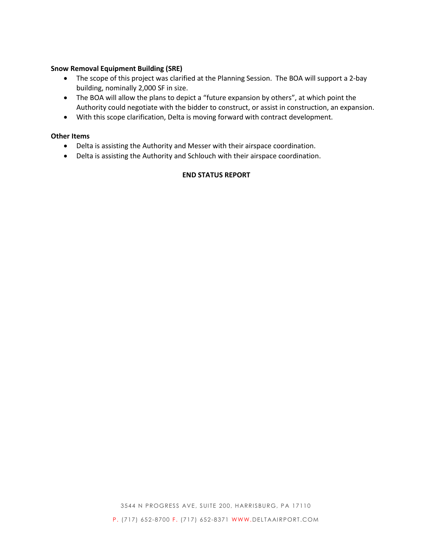#### **Snow Removal Equipment Building (SRE)**

- The scope of this project was clarified at the Planning Session. The BOA will support a 2-bay building, nominally 2,000 SF in size.
- The BOA will allow the plans to depict a "future expansion by others", at which point the Authority could negotiate with the bidder to construct, or assist in construction, an expansion.
- With this scope clarification, Delta is moving forward with contract development.

## **Other Items**

- Delta is assisting the Authority and Messer with their airspace coordination.
- Delta is assisting the Authority and Schlouch with their airspace coordination.

## **END STATUS REPORT**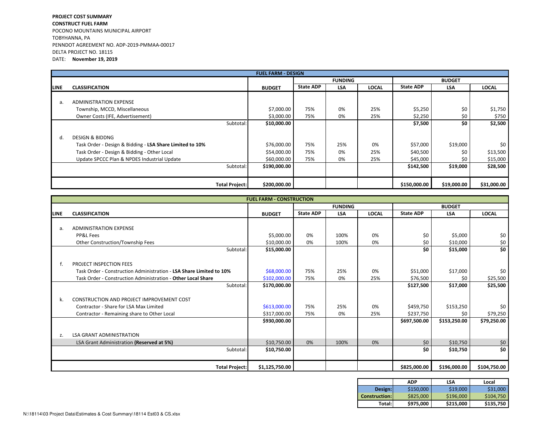#### PROJECT COST SUMMARYCONSTRUCT FUEL FARM POCONO MOUNTAINS MUNICIPAL AIRPORTTOBYHANNA, PA PENNDOT AGREEMENT NO. ADP-2019-PMMAA-00017DELTA PROJECT NO. 18115DATE: November 19, 2019

|             | <b>FUEL FARM - DESIGN</b>                                |               |                  |            |              |                  |             |              |
|-------------|----------------------------------------------------------|---------------|------------------|------------|--------------|------------------|-------------|--------------|
|             |                                                          |               | <b>FUNDING</b>   |            |              | <b>BUDGET</b>    |             |              |
| <b>LINE</b> | <b>CLASSIFICATION</b>                                    | <b>BUDGET</b> | <b>State ADP</b> | <b>LSA</b> | <b>LOCAL</b> | <b>State ADP</b> | <b>LSA</b>  | <b>LOCAL</b> |
|             |                                                          |               |                  |            |              |                  |             |              |
| a.          | <b>ADMINISTRATION EXPENSE</b>                            |               |                  |            |              |                  |             |              |
|             | Township, MCCD, Miscellaneous                            | \$7,000.00    | 75%              | 0%         | 25%          | \$5,250          | \$0         | \$1,750      |
|             | Owner Costs (IFE, Advertisement)                         | \$3,000.00    | 75%              | 0%         | 25%          | \$2,250          | \$0         | \$750        |
|             | Subtotal:                                                | \$10,000.00   |                  |            |              | \$7,500          | \$0         | \$2,500      |
| d.          | <b>DESIGN &amp; BIDDNG</b>                               |               |                  |            |              |                  |             |              |
|             | Task Order - Design & Bidding - LSA Share Limited to 10% | \$76,000.00   | 75%              | 25%        | 0%           | \$57,000         | \$19,000    | \$0          |
|             | Task Order - Design & Bidding - Other Local              | \$54,000.00   | 75%              | 0%         | 25%          | \$40,500         | \$0         | \$13,500     |
|             | Update SPCCC Plan & NPDES Industrial Update              | \$60,000.00   | 75%              | 0%         | 25%          | \$45,000         | \$0         | \$15,000     |
|             | Subtotal:                                                | \$190,000.00  |                  |            |              | \$142,500        | \$19,000    | \$28,500     |
|             |                                                          |               |                  |            |              |                  |             |              |
|             | <b>Total Project:</b>                                    | \$200,000.00  |                  |            |              | \$150,000.00     | \$19,000.00 | \$31,000.00  |

|             | <b>FUEL FARM - CONSTRUCTION</b>                                     |                |                  |            |              |                  |              |              |
|-------------|---------------------------------------------------------------------|----------------|------------------|------------|--------------|------------------|--------------|--------------|
|             |                                                                     |                | <b>FUNDING</b>   |            |              | <b>BUDGET</b>    |              |              |
| <b>LINE</b> | <b>CLASSIFICATION</b>                                               | <b>BUDGET</b>  | <b>State ADP</b> | <b>LSA</b> | <b>LOCAL</b> | <b>State ADP</b> | <b>LSA</b>   | <b>LOCAL</b> |
|             |                                                                     |                |                  |            |              |                  |              |              |
| a.          | <b>ADMINISTRATION EXPENSE</b>                                       |                |                  |            |              |                  |              |              |
|             | PP&L Fees                                                           | \$5,000.00     | 0%               | 100%       | 0%           | \$0              | \$5,000      | \$0          |
|             | Other Construction/Township Fees                                    | \$10,000.00    | 0%               | 100%       | 0%           | \$0              | \$10,000     | \$0          |
|             | Subtotal:                                                           | \$15,000.00    |                  |            |              | \$0              | \$15,000     | \$0          |
|             |                                                                     |                |                  |            |              |                  |              |              |
|             | PROJECT INSPECTION FEES                                             |                |                  |            |              |                  |              |              |
|             | Task Order - Construction Administration - LSA Share Limited to 10% | \$68,000.00    | 75%              | 25%        | 0%           | \$51,000         | \$17,000     | \$0          |
|             | Task Order - Construction Administration - Other Local Share        | \$102,000.00   | 75%              | 0%         | 25%          | \$76,500         | \$0          | \$25,500     |
|             | Subtotal:                                                           | \$170,000.00   |                  |            |              | \$127,500        | \$17,000     | \$25,500     |
|             |                                                                     |                |                  |            |              |                  |              |              |
| k.          | <b>CONSTRUCTION AND PROJECT IMPROVEMENT COST</b>                    |                |                  |            |              |                  |              |              |
|             | Contractor - Share for LSA Max Limited                              | \$613,000.00   | 75%              | 25%        | 0%           | \$459,750        | \$153,250    | \$0          |
|             | Contractor - Remaining share to Other Local                         | \$317,000.00   | 75%              | 0%         | 25%          | \$237,750        | \$0          | \$79,250     |
|             |                                                                     | \$930,000.00   |                  |            |              | \$697,500.00     | \$153,250.00 | \$79,250.00  |
|             |                                                                     |                |                  |            |              |                  |              |              |
| Z.          | <b>LSA GRANT ADMINISTRATION</b>                                     |                |                  |            |              |                  |              |              |
|             | LSA Grant Administration (Reserved at 5%)                           | \$10,750.00    | 0%               | 100%       | 0%           | \$0              | \$10,750     | $$0$$        |
|             | Subtotal:                                                           | \$10,750.00    |                  |            |              | \$0              | \$10,750     | \$0          |
|             |                                                                     |                |                  |            |              |                  |              |              |
|             | <b>Total Project:</b>                                               | \$1,125,750.00 |                  |            |              | \$825,000.00     | \$196,000.00 | \$104,750.00 |

|                      | ADP       | LSA       | Local     |  |  |
|----------------------|-----------|-----------|-----------|--|--|
| Design:              | \$150,000 | \$19,000  | \$31,000  |  |  |
| <b>Construction:</b> | \$825,000 | \$196,000 | \$104,750 |  |  |
| Total:l              | \$975,000 | \$215,000 | \$135,750 |  |  |